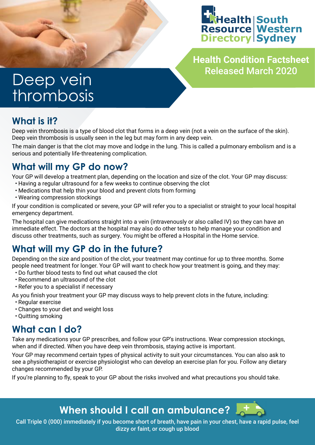

**Health Condition Factsheet** Released March 2020

# Deep vein thrombosis

# **What is it?**

Deep vein thrombosis is a type of blood clot that forms in a deep vein (not a vein on the surface of the skin). Deep vein thrombosis is usually seen in the leg but may form in any deep vein.

The main danger is that the clot may move and lodge in the lung. This is called a pulmonary embolism and is a serious and potentially life-threatening complication.

# **What will my GP do now?**

Your GP will develop a treatment plan, depending on the location and size of the clot. Your GP may discuss:

- Having a regular ultrasound for a few weeks to continue observing the clot
- Medications that help thin your blood and prevent clots from forming
- Wearing compression stockings

If your condition is complicated or severe, your GP will refer you to a specialist or straight to your local hospital emergency department.

The hospital can give medications straight into a vein (intravenously or also called IV) so they can have an immediate effect. The doctors at the hospital may also do other tests to help manage your condition and discuss other treatments, such as surgery. You might be offered a Hospital in the Home service.

# **What will my GP do in the future?**

Depending on the size and position of the clot, your treatment may continue for up to three months. Some people need treatment for longer. Your GP will want to check how your treatment is going, and they may:

- Do further blood tests to find out what caused the clot
- Recommend an ultrasound of the clot
- Refer you to a specialist if necessary
- As you finish your treatment your GP may discuss ways to help prevent clots in the future, including:
- Regular exercise
- Changes to your diet and weight loss
- Quitting smoking

# **What can I do?**

Take any medications your GP prescribes, and follow your GP's instructions. Wear compression stockings, when and if directed. When you have deep vein thrombosis, staying active is important.

Your GP may recommend certain types of physical activity to suit your circumstances. You can also ask to see a physiotherapist or exercise physiologist who can develop an exercise plan for you. Follow any dietary changes recommended by your GP.

If you're planning to fly, speak to your GP about the risks involved and what precautions you should take.

# **When should I call an ambulance?**

Call Triple 0 (000) immediately if you become short of breath, have pain in your chest, have a rapid pulse, feel dizzy or faint, or cough up blood